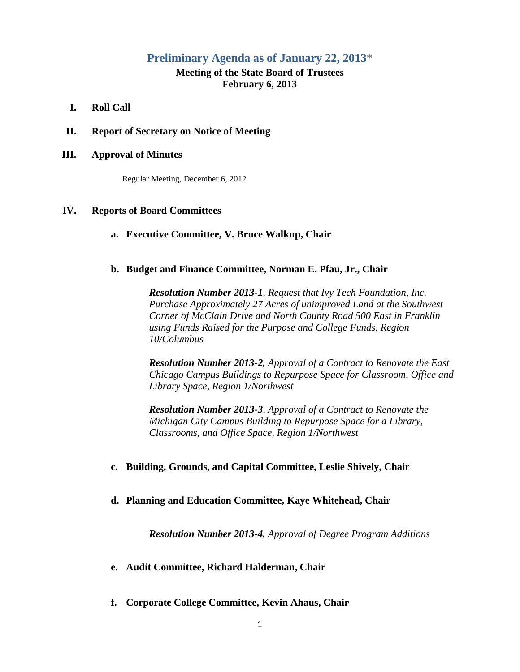# **Preliminary Agenda as of January 22, 2013\***

# **Meeting of the State Board of Trustees February 6, 2013**

- **I. Roll Call**
- **II. Report of Secretary on Notice of Meeting**

#### **III. Approval of Minutes**

Regular Meeting, December 6, 2012

### **IV. Reports of Board Committees**

**a. Executive Committee, V. Bruce Walkup, Chair**

### **b. Budget and Finance Committee, Norman E. Pfau, Jr., Chair**

*Resolution Number 2013-1, Request that Ivy Tech Foundation, Inc. Purchase Approximately 27 Acres of unimproved Land at the Southwest Corner of McClain Drive and North County Road 500 East in Franklin using Funds Raised for the Purpose and College Funds, Region 10/Columbus*

*Resolution Number 2013-2, Approval of a Contract to Renovate the East Chicago Campus Buildings to Repurpose Space for Classroom, Office and Library Space, Region 1/Northwest*

*Resolution Number 2013-3, Approval of a Contract to Renovate the Michigan City Campus Building to Repurpose Space for a Library, Classrooms, and Office Space, Region 1/Northwest*

## **c. Building, Grounds, and Capital Committee, Leslie Shively, Chair**

#### **d. Planning and Education Committee, Kaye Whitehead, Chair**

*Resolution Number 2013-4, Approval of Degree Program Additions*

- **e. Audit Committee, Richard Halderman, Chair**
- **f. Corporate College Committee, Kevin Ahaus, Chair**